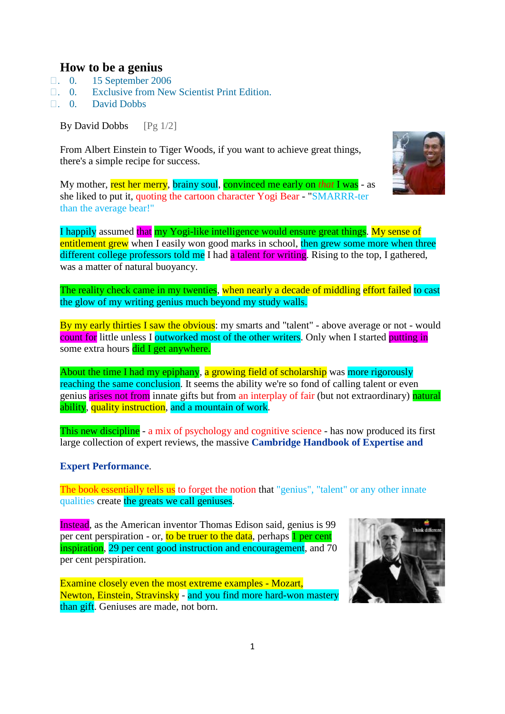## **How to be a genius**

- . 0. 15 September 2006
- $\Box$  0. Exclusive from New Scientist Print Edition.
- . 0. David Dobbs

By David Dobbs  $[Pe 1/2]$ 

From Albert Einstein to Tiger Woods, if you want to achieve great things, there's a simple recipe for success.

My mother, rest her merry, brainy soul, convinced me early on *that* I was - as she liked to put it, quoting the cartoon character Yogi Bear - "SMARRR-ter than the average bear!"



I happily assumed that my Yogi-like intelligence would ensure great things. My sense of entitlement grew when I easily won good marks in school, then grew some more when three different college professors told me I had a talent for writing. Rising to the top, I gathered, was a matter of natural buoyancy.

The reality check came in my twenties, when nearly a decade of middling effort failed to cast the glow of my writing genius much beyond my study walls.

By my early thirties I saw the obvious: my smarts and "talent" - above average or not - would count for little unless I outworked most of the other writers. Only when I started putting in some extra hours did I get anywhere.

About the time I had my epiphany, a growing field of scholarship was more rigorously reaching the same conclusion. It seems the ability we're so fond of calling talent or even genius arises not from innate gifts but from an interplay of fair (but not extraordinary) natural ability, quality instruction, and a mountain of work.

This new discipline - a mix of psychology and cognitive science - has now produced its first large collection of expert reviews, the massive **[Cambridge Handbook of Expertise and](http://www.amazon.com/exec/obidos/ASIN/0521600812/talentdevelopmen)** 

## **[Expert Performance](http://www.amazon.com/exec/obidos/ASIN/0521600812/talentdevelopmen)**.

The book essentially tells us to forget the notion that "genius", "talent" or any other innate qualities create the greats we call geniuses.

Instead, as the American inventor Thomas Edison said, genius is 99 per cent perspiration - or, to be truer to the data, perhaps 1 per cent inspiration, 29 per cent good instruction and encouragement, and 70 per cent perspiration.

Examine closely even the most extreme examples - Mozart, Newton, Einstein, Stravinsky - and you find more hard-won mastery than gift. Geniuses are made, not born.

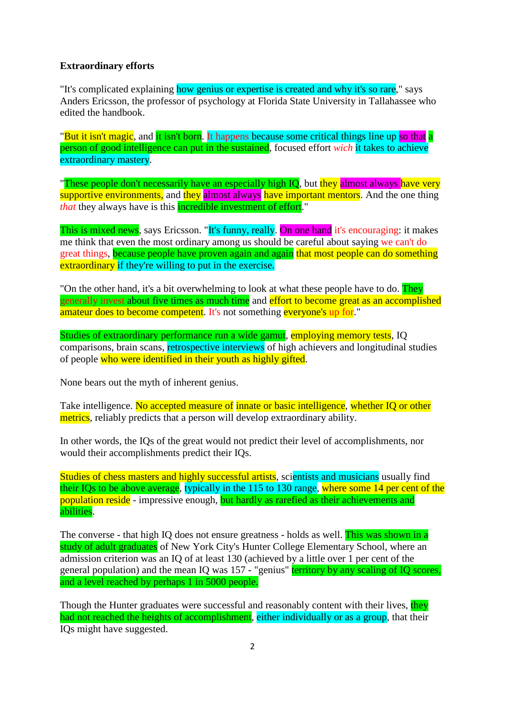## **Extraordinary efforts**

"It's complicated explaining how genius or expertise is created and why it's so rare," says Anders Ericsson, the professor of psychology at Florida State University in Tallahassee who edited the handbook.

"But it isn't magic, and it isn't born. It happens because some critical things line up so that a person of good intelligence can put in the sustained, focused effort *wich* it takes to achieve extraordinary mastery.

"These people don't necessarily have an especially high IQ, but they almost always have very supportive environments, and they almost always have important mentors. And the one thing *that* they always have is this **incredible investment** of effort."

This is mixed news, says Ericsson. "It's funny, really. On one hand it's encouraging: it makes me think that even the most ordinary among us should be careful about saying we can't do great things, because people have proven again and again that most people can do something extraordinary if they're willing to put in the exercise.

"On the other hand, it's a bit overwhelming to look at what these people have to do. They generally invest about five times as much time and effort to become great as an accomplished amateur does to become competent. It's not something everyone's up for."

Studies of extraordinary performance run a wide gamut, employing memory tests, IQ comparisons, brain scans, retrospective interviews of high achievers and longitudinal studies of people who were identified in their youth as highly gifted.

None bears out the myth of inherent genius.

Take intelligence. No accepted measure of innate or basic intelligence, whether IQ or other metrics, reliably predicts that a person will develop extraordinary ability.

In other words, the IQs of the great would not predict their level of accomplishments, nor would their accomplishments predict their IQs.

Studies of chess masters and highly successful artists, scientists and musicians usually find their IQs to be above average, typically in the 115 to 130 range, where some 14 per cent of the population reside - impressive enough, but hardly as rarefied as their achievements and abilities.

The converse - that high IQ does not ensure greatness - holds as well. This was shown in a study of adult graduates of New York City's Hunter College Elementary School, where an admission criterion was an IQ of at least 130 (achieved by a little over 1 per cent of the general population) and the mean IQ was 157 - "genius" territory by any scaling of IQ scores, and a level reached by perhaps 1 in 5000 people.

Though the Hunter graduates were successful and reasonably content with their lives, they had not reached the heights of accomplishment, either individually or as a group, that their IQs might have suggested.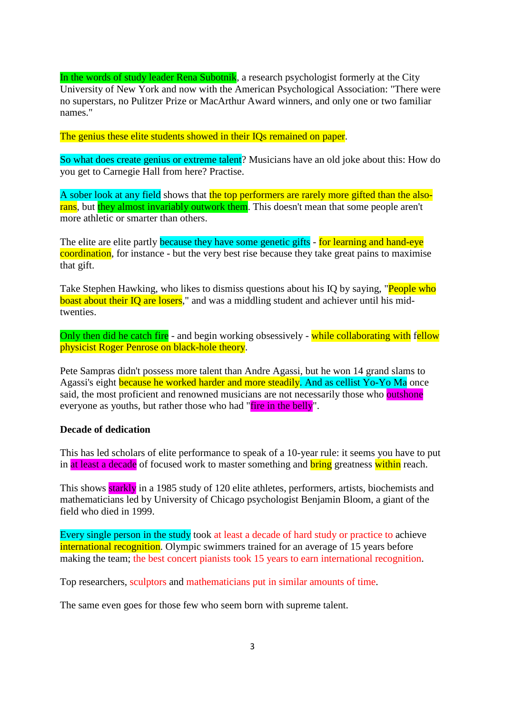In the words of study leader Rena Subotnik, a research psychologist formerly at the City University of New York and now with the American Psychological Association: "There were no superstars, no Pulitzer Prize or MacArthur Award winners, and only one or two familiar names."

The genius these elite students showed in their IQs remained on paper.

So what does create genius or extreme talent? Musicians have an old joke about this: How do you get to Carnegie Hall from here? Practise.

A sober look at any field shows that the top performers are rarely more gifted than the alsorans, but they almost invariably outwork them. This doesn't mean that some people aren't more athletic or smarter than others.

The elite are elite partly because they have some genetic gifts - for learning and hand-eye coordination, for instance - but the very best rise because they take great pains to maximise that gift.

Take Stephen Hawking, who likes to dismiss questions about his IQ by saying, "People who boast about their IQ are losers," and was a middling student and achiever until his midtwenties.

Only then did he catch fire - and begin working obsessively - while collaborating with fellow physicist Roger Penrose on black-hole theory.

Pete Sampras didn't possess more talent than Andre Agassi, but he won 14 grand slams to Agassi's eight because he worked harder and more steadily. And as cellist Yo-Yo Ma once said, the most proficient and renowned musicians are not necessarily those who **outshone** everyone as youths, but rather those who had "fire in the belly".

## **Decade of dedication**

This has led scholars of elite performance to speak of a 10-year rule: it seems you have to put in at least a decade of focused work to master something and **bring** greatness within reach.

This shows **starkly** in a 1985 study of 120 elite athletes, performers, artists, biochemists and mathematicians led by University of Chicago psychologist Benjamin Bloom, a giant of the field who died in 1999.

Every single person in the study took at least a decade of hard study or practice to achieve international recognition. Olympic swimmers trained for an average of 15 years before making the team; the best concert pianists took 15 years to earn international recognition.

Top researchers, sculptors and mathematicians put in similar amounts of time.

The same even goes for those few who seem born with supreme talent.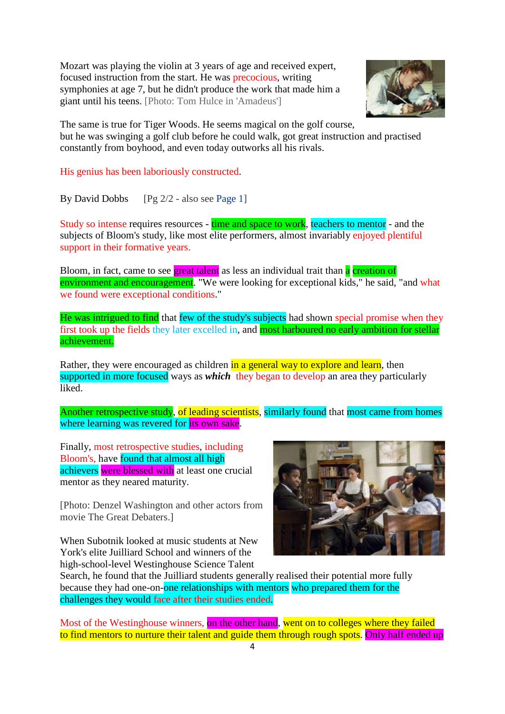Mozart was playing the violin at 3 years of age and received expert, focused instruction from the start. He was precocious, writing symphonies at age 7, but he didn't produce the work that made him a giant until his teens. [Photo: Tom Hulce in 'Amadeus']



The same is true for Tiger Woods. He seems magical on the golf course, but he was swinging a golf club before he could walk, got great instruction and practised constantly from boyhood, and even today outworks all his rivals.

His genius has been laboriously constructed.

By David Dobbs [Pg 2/2 - also see [Page 1\]](http://talentdevelop.com/articles/HTBAG.html)

Study so intense requires resources - time and space to work, teachers to mentor - and the subjects of Bloom's study, like most elite performers, almost invariably enjoyed plentiful support in their formative years.

Bloom, in fact, came to see great talent as less an individual trait than a creation of environment and encouragement. "We were looking for exceptional kids," he said, "and what we found were exceptional conditions."

He was intrigued to find that few of the study's subjects had shown special promise when they first took up the fields they later excelled in, and most harboured no early ambition for stellar achievement.

Rather, they were encouraged as children in a general way to explore and learn, then supported in more focused ways as *which* they began to develop an area they particularly liked.

Another retrospective study, of leading scientists, similarly found that most came from homes where learning was revered for its own sake.

Finally, most retrospective studies, including Bloom's, have found that almost all high achievers were blessed with at least one crucial mentor as they neared maturity.

[Photo: Denzel Washington and other actors from movie The Great Debaters.]

When Subotnik looked at music students at New York's elite Juilliard School and winners of the high-school-level Westinghouse Science Talent



Search, he found that the Juilliard students generally realised their potential more fully because they had one-on-one relationships with mentors who prepared them for the challenges they would face after their studies ended.

Most of the Westinghouse winners, on the other hand, went on to colleges where they failed to find mentors to nurture their talent and guide them through rough spots. Only half ended up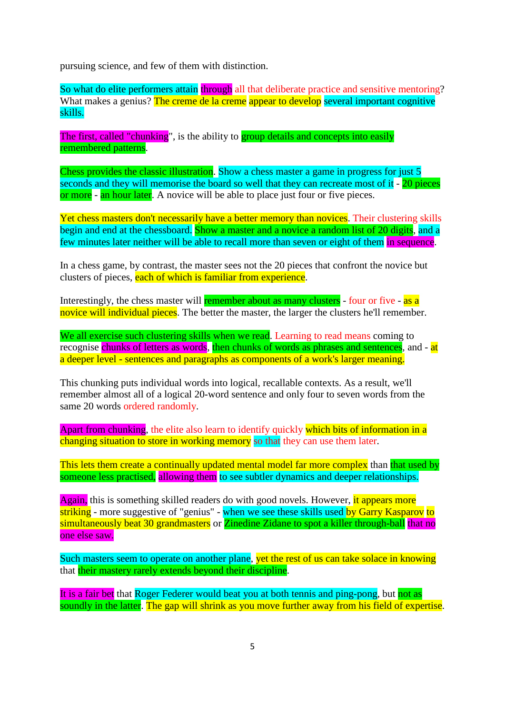pursuing science, and few of them with distinction.

So what do elite performers attain through all that deliberate practice and sensitive mentoring? What makes a genius? The creme de la creme appear to develop several important cognitive skills.

The first, called "chunking", is the ability to group details and concepts into easily remembered patterns.

Chess provides the classic illustration. Show a chess master a game in progress for just 5 seconds and they will memorise the board so well that they can recreate most of it - 20 pieces or more - an hour later. A novice will be able to place just four or five pieces.

Yet chess masters don't necessarily have a better memory than novices. Their clustering skills begin and end at the chessboard. Show a master and a novice a random list of 20 digits, and a few minutes later neither will be able to recall more than seven or eight of them in sequence.

In a chess game, by contrast, the master sees not the 20 pieces that confront the novice but clusters of pieces, each of which is familiar from experience.

Interestingly, the chess master will remember about as many clusters - four or five - as a novice will individual pieces. The better the master, the larger the clusters he'll remember.

We all exercise such clustering skills when we read. Learning to read means coming to recognise chunks of letters as words, then chunks of words as phrases and sentences, and - at a deeper level - sentences and paragraphs as components of a work's larger meaning.

This chunking puts individual words into logical, recallable contexts. As a result, we'll remember almost all of a logical 20-word sentence and only four to seven words from the same 20 words ordered randomly.

Apart from chunking, the elite also learn to identify quickly which bits of information in a changing situation to store in working memory so that they can use them later.

This lets them create a continually updated mental model far more complex than that used by someone less practised, allowing them to see subtler dynamics and deeper relationships.

Again, this is something skilled readers do with good novels. However, it appears more striking - more suggestive of "genius" - when we see these skills used by Garry Kasparov to simultaneously beat 30 grandmasters or Zinedine Zidane to spot a killer through-ball that no one else saw.

Such masters seem to operate on another plane, yet the rest of us can take solace in knowing that their mastery rarely extends beyond their discipline.

It is a fair bet that Roger Federer would beat you at both tennis and ping-pong, but not as soundly in the latter. The gap will shrink as you move further away from his field of expertise.